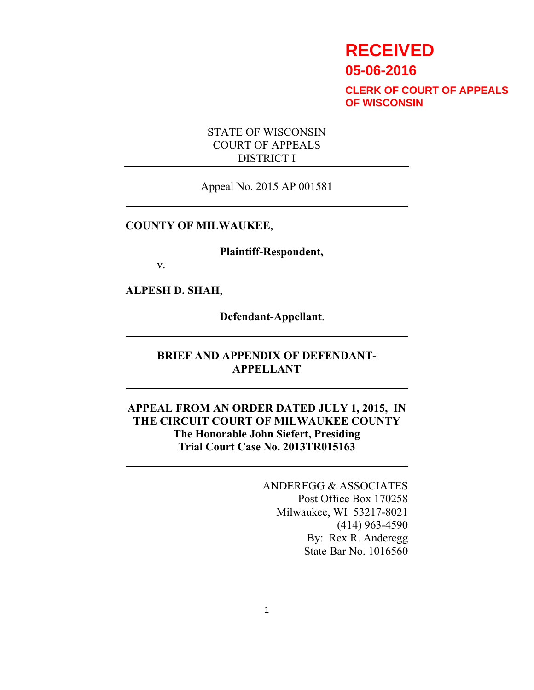# **RECEIVED 05-06-2016**

**CLERK OF COURT OF APPEALS OF WISCONSIN**

### STATE OF WISCONSIN COURT OF APPEALS DISTRICT I

Appeal No. 2015 AP 001581

#### **COUNTY OF MILWAUKEE**,

**Plaintiff-Respondent,**

v.

**ALPESH D. SHAH**,

**Defendant-Appellant**.

## **BRIEF AND APPENDIX OF DEFENDANT-APPELLANT**

### **APPEAL FROM AN ORDER DATED JULY 1, 2015, IN THE CIRCUIT COURT OF MILWAUKEE COUNTY The Honorable John Siefert, Presiding Trial Court Case No. 2013TR015163**

ANDEREGG & ASSOCIATES Post Office Box 170258 Milwaukee, WI 53217-8021 (414) 963-4590 By: Rex R. Anderegg State Bar No. 1016560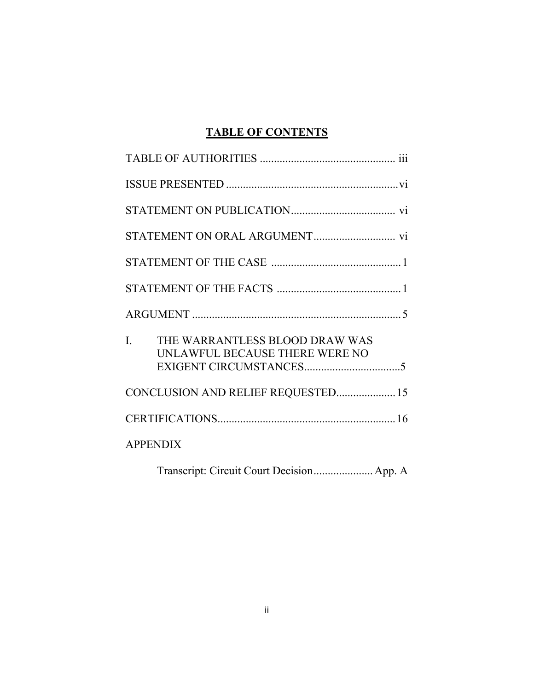# **TABLE OF CONTENTS**

| $\mathbf{I}$ .  | THE WARRANTLESS BLOOD DRAW WAS<br>UNLAWFUL BECAUSE THERE WERE NO |  |
|-----------------|------------------------------------------------------------------|--|
|                 | CONCLUSION AND RELIEF REQUESTED 15                               |  |
|                 |                                                                  |  |
| <b>APPENDIX</b> |                                                                  |  |
|                 | Transcript: Circuit Court Decision App. A                        |  |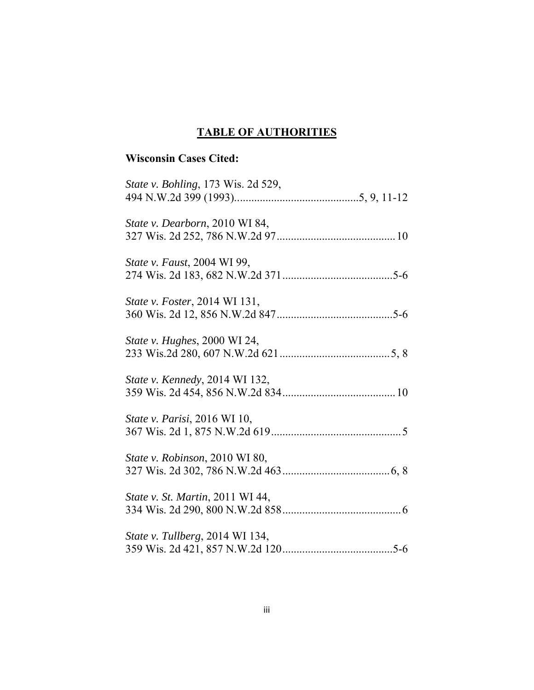# **TABLE OF AUTHORITIES**

# **Wisconsin Cases Cited:**

| <i>State v. Bohling</i> , 173 Wis. 2d 529, |
|--------------------------------------------|
| State v. Dearborn, 2010 WI 84,             |
| <i>State v. Faust, 2004 WI 99,</i>         |
| <i>State v. Foster</i> , 2014 WI 131,      |
| <i>State v. Hughes</i> , 2000 WI 24,       |
| State v. Kennedy, 2014 WI 132,             |
| State v. Parisi, 2016 WI 10,               |
| State v. Robinson, 2010 WI 80,             |
| State v. St. Martin, 2011 WI 44,           |
| State v. Tullberg, 2014 WI 134,            |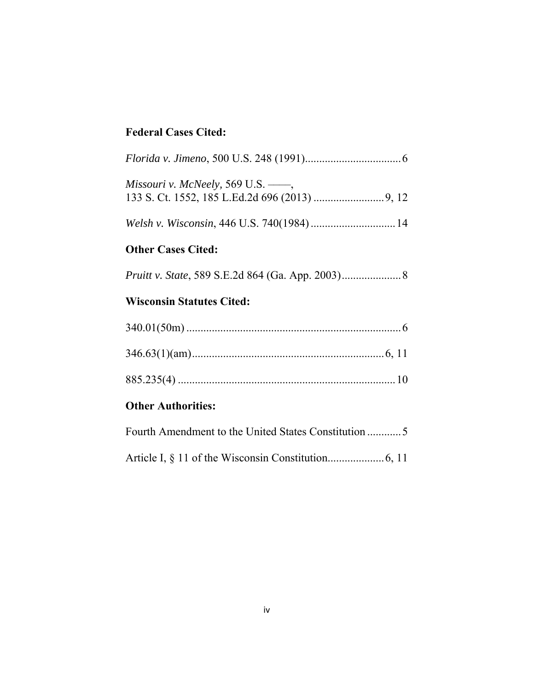# **Federal Cases Cited:**

| Missouri v. McNeely, 569 U.S. $\frac{1}{100}$ ,          |
|----------------------------------------------------------|
|                                                          |
| <b>Other Cases Cited:</b>                                |
| <i>Pruitt v. State, 589 S.E.2d 864 (Ga. App. 2003)</i> 8 |
| <b>Wisconsin Statutes Cited:</b>                         |
|                                                          |
|                                                          |

|--|--|--|

# **Other Authorities:**

| Fourth Amendment to the United States Constitution 5 |
|------------------------------------------------------|
|                                                      |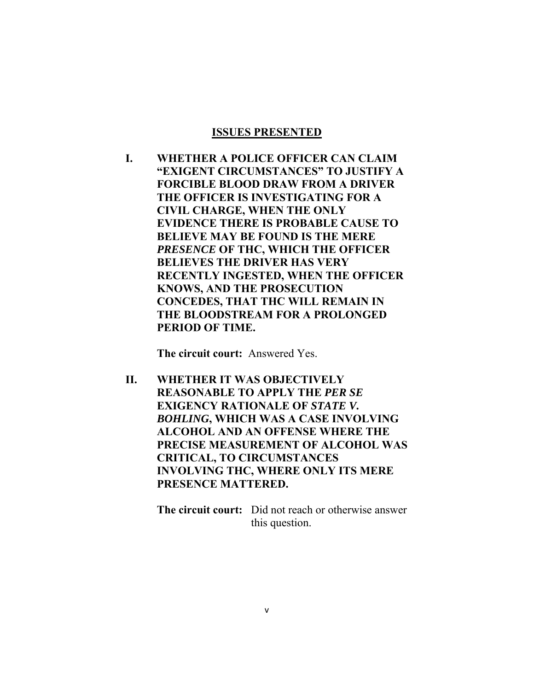#### **ISSUES PRESENTED**

**I. WHETHER A POLICE OFFICER CAN CLAIM "EXIGENT CIRCUMSTANCES" TO JUSTIFY A FORCIBLE BLOOD DRAW FROM A DRIVER THE OFFICER IS INVESTIGATING FOR A CIVIL CHARGE, WHEN THE ONLY EVIDENCE THERE IS PROBABLE CAUSE TO BELIEVE MAY BE FOUND IS THE MERE**  *PRESENCE* **OF THC, WHICH THE OFFICER BELIEVES THE DRIVER HAS VERY RECENTLY INGESTED, WHEN THE OFFICER KNOWS, AND THE PROSECUTION CONCEDES, THAT THC WILL REMAIN IN THE BLOODSTREAM FOR A PROLONGED PERIOD OF TIME.** 

**The circuit court:** Answered Yes.

**II. WHETHER IT WAS OBJECTIVELY REASONABLE TO APPLY THE** *PER SE*  **EXIGENCY RATIONALE OF** *STATE V***.** *BOHLING***, WHICH WAS A CASE INVOLVING ALCOHOL AND AN OFFENSE WHERE THE PRECISE MEASUREMENT OF ALCOHOL WAS CRITICAL, TO CIRCUMSTANCES INVOLVING THC, WHERE ONLY ITS MERE PRESENCE MATTERED.** 

> **The circuit court:** Did not reach or otherwise answer this question.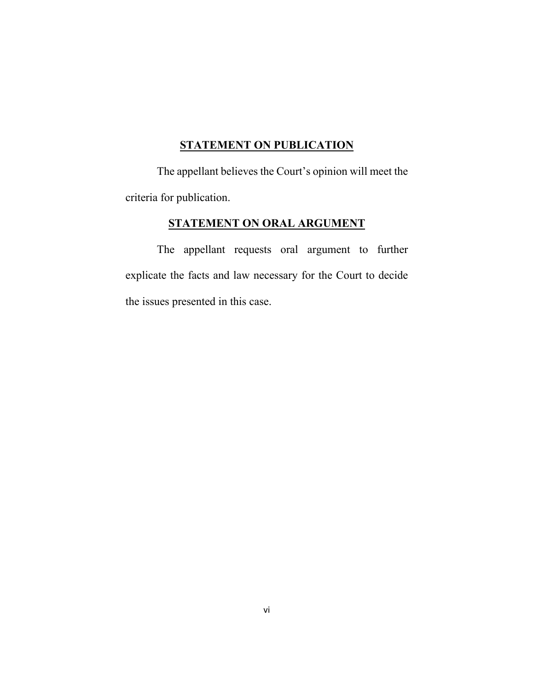# **STATEMENT ON PUBLICATION**

 The appellant believes the Court's opinion will meet the criteria for publication.

# **STATEMENT ON ORAL ARGUMENT**

 The appellant requests oral argument to further explicate the facts and law necessary for the Court to decide the issues presented in this case.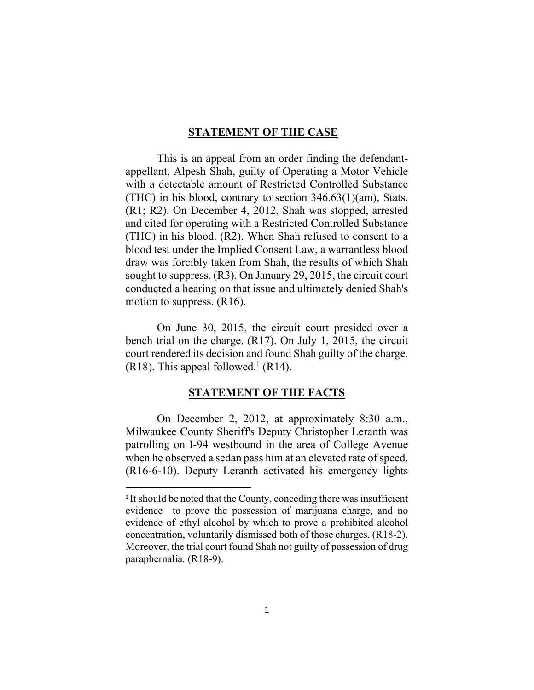#### **STATEMENT OF THE CASE**

 This is an appeal from an order finding the defendantappellant, Alpesh Shah, guilty of Operating a Motor Vehicle with a detectable amount of Restricted Controlled Substance (THC) in his blood, contrary to section 346.63(1)(am), Stats. (R1; R2). On December 4, 2012, Shah was stopped, arrested and cited for operating with a Restricted Controlled Substance (THC) in his blood. (R2). When Shah refused to consent to a blood test under the Implied Consent Law, a warrantless blood draw was forcibly taken from Shah, the results of which Shah sought to suppress. (R3). On January 29, 2015, the circuit court conducted a hearing on that issue and ultimately denied Shah's motion to suppress. (R16).

 On June 30, 2015, the circuit court presided over a bench trial on the charge. (R17). On July 1, 2015, the circuit court rendered its decision and found Shah guilty of the charge.  $(R18)$ . This appeal followed.<sup>1</sup> (R14).

#### **STATEMENT OF THE FACTS**

 On December 2, 2012, at approximately 8:30 a.m., Milwaukee County Sheriff's Deputy Christopher Leranth was patrolling on I-94 westbound in the area of College Avenue when he observed a sedan pass him at an elevated rate of speed. (R16-6-10). Deputy Leranth activated his emergency lights

<sup>&</sup>lt;sup>1</sup> It should be noted that the County, conceding there was insufficient evidence to prove the possession of marijuana charge, and no evidence of ethyl alcohol by which to prove a prohibited alcohol concentration, voluntarily dismissed both of those charges. (R18-2). Moreover, the trial court found Shah not guilty of possession of drug paraphernalia. (R18-9).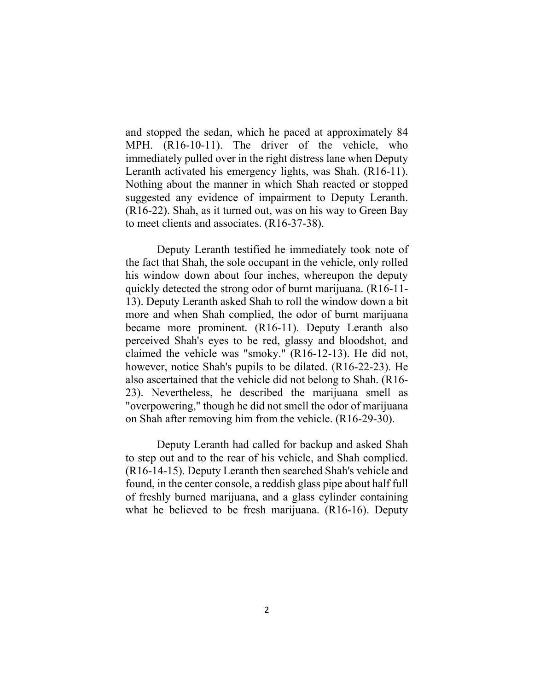and stopped the sedan, which he paced at approximately 84 MPH. (R16-10-11). The driver of the vehicle, who immediately pulled over in the right distress lane when Deputy Leranth activated his emergency lights, was Shah. (R16-11). Nothing about the manner in which Shah reacted or stopped suggested any evidence of impairment to Deputy Leranth. (R16-22). Shah, as it turned out, was on his way to Green Bay to meet clients and associates. (R16-37-38).

 Deputy Leranth testified he immediately took note of the fact that Shah, the sole occupant in the vehicle, only rolled his window down about four inches, whereupon the deputy quickly detected the strong odor of burnt marijuana. (R16-11- 13). Deputy Leranth asked Shah to roll the window down a bit more and when Shah complied, the odor of burnt marijuana became more prominent. (R16-11). Deputy Leranth also perceived Shah's eyes to be red, glassy and bloodshot, and claimed the vehicle was "smoky." (R16-12-13). He did not, however, notice Shah's pupils to be dilated. (R16-22-23). He also ascertained that the vehicle did not belong to Shah. (R16- 23). Nevertheless, he described the marijuana smell as "overpowering," though he did not smell the odor of marijuana on Shah after removing him from the vehicle. (R16-29-30).

 Deputy Leranth had called for backup and asked Shah to step out and to the rear of his vehicle, and Shah complied. (R16-14-15). Deputy Leranth then searched Shah's vehicle and found, in the center console, a reddish glass pipe about half full of freshly burned marijuana, and a glass cylinder containing what he believed to be fresh marijuana. (R16-16). Deputy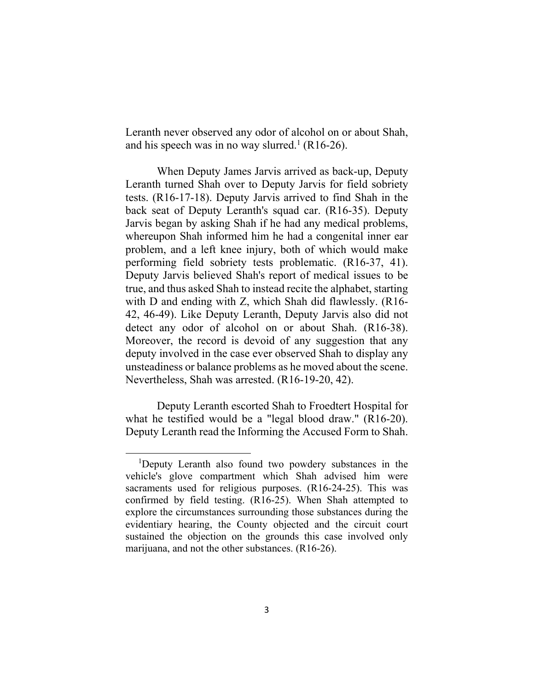Leranth never observed any odor of alcohol on or about Shah, and his speech was in no way slurred.<sup>1</sup> (R16-26).

 When Deputy James Jarvis arrived as back-up, Deputy Leranth turned Shah over to Deputy Jarvis for field sobriety tests. (R16-17-18). Deputy Jarvis arrived to find Shah in the back seat of Deputy Leranth's squad car. (R16-35). Deputy Jarvis began by asking Shah if he had any medical problems, whereupon Shah informed him he had a congenital inner ear problem, and a left knee injury, both of which would make performing field sobriety tests problematic. (R16-37, 41). Deputy Jarvis believed Shah's report of medical issues to be true, and thus asked Shah to instead recite the alphabet, starting with D and ending with Z, which Shah did flawlessly. (R16- 42, 46-49). Like Deputy Leranth, Deputy Jarvis also did not detect any odor of alcohol on or about Shah. (R16-38). Moreover, the record is devoid of any suggestion that any deputy involved in the case ever observed Shah to display any unsteadiness or balance problems as he moved about the scene. Nevertheless, Shah was arrested. (R16-19-20, 42).

 Deputy Leranth escorted Shah to Froedtert Hospital for what he testified would be a "legal blood draw." (R16-20). Deputy Leranth read the Informing the Accused Form to Shah.

<sup>&</sup>lt;sup>1</sup>Deputy Leranth also found two powdery substances in the vehicle's glove compartment which Shah advised him were sacraments used for religious purposes. (R16-24-25). This was confirmed by field testing. (R16-25). When Shah attempted to explore the circumstances surrounding those substances during the evidentiary hearing, the County objected and the circuit court sustained the objection on the grounds this case involved only marijuana, and not the other substances. (R16-26).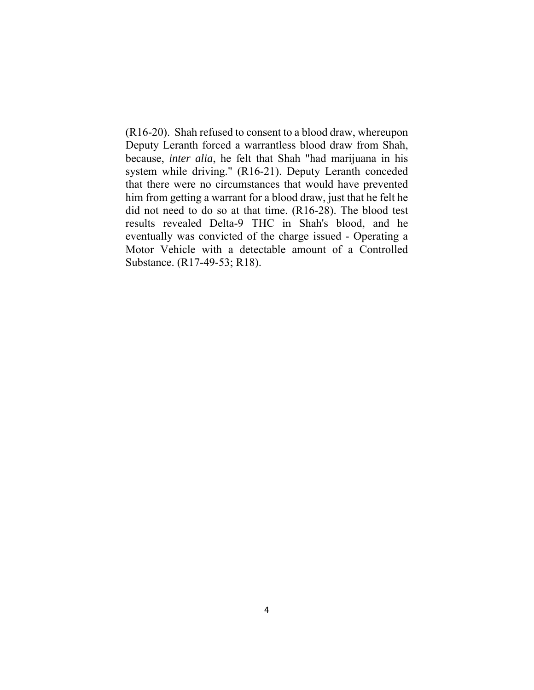(R16-20). Shah refused to consent to a blood draw, whereupon Deputy Leranth forced a warrantless blood draw from Shah, because, *inter alia*, he felt that Shah "had marijuana in his system while driving." (R16-21). Deputy Leranth conceded that there were no circumstances that would have prevented him from getting a warrant for a blood draw, just that he felt he did not need to do so at that time. (R16-28). The blood test results revealed Delta-9 THC in Shah's blood, and he eventually was convicted of the charge issued - Operating a Motor Vehicle with a detectable amount of a Controlled Substance. (R17-49-53; R18).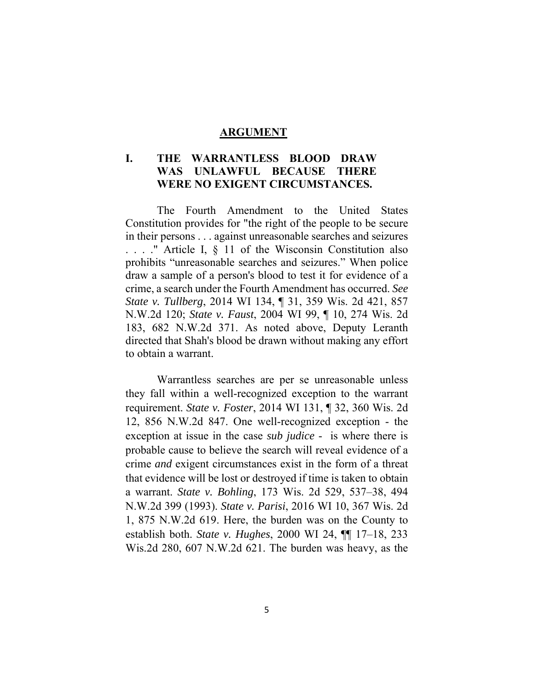#### **ARGUMENT**

### **I. THE WARRANTLESS BLOOD DRAW WAS UNLAWFUL BECAUSE THERE WERE NO EXIGENT CIRCUMSTANCES.**

 The Fourth Amendment to the United States Constitution provides for "the right of the people to be secure in their persons . . . against unreasonable searches and seizures . . . ." Article I, § 11 of the Wisconsin Constitution also prohibits "unreasonable searches and seizures." When police draw a sample of a person's blood to test it for evidence of a crime, a search under the Fourth Amendment has occurred. *See State v. Tullberg*, 2014 WI 134, ¶ 31, 359 Wis. 2d 421, 857 N.W.2d 120; *State v. Faust*, 2004 WI 99, ¶ 10, 274 Wis. 2d 183, 682 N.W.2d 371. As noted above, Deputy Leranth directed that Shah's blood be drawn without making any effort to obtain a warrant.

 Warrantless searches are per se unreasonable unless they fall within a well-recognized exception to the warrant requirement. *State v. Foster*, 2014 WI 131, ¶ 32, 360 Wis. 2d 12, 856 N.W.2d 847. One well-recognized exception - the exception at issue in the case *sub judice* - is where there is probable cause to believe the search will reveal evidence of a crime *and* exigent circumstances exist in the form of a threat that evidence will be lost or destroyed if time is taken to obtain a warrant. *State v. Bohling*, 173 Wis. 2d 529, 537–38, 494 N.W.2d 399 (1993). *State v. Parisi*, 2016 WI 10, 367 Wis. 2d 1, 875 N.W.2d 619. Here, the burden was on the County to establish both. *State v. Hughes*, 2000 WI 24, ¶¶ 17–18, 233 Wis.2d 280, 607 N.W.2d 621. The burden was heavy, as the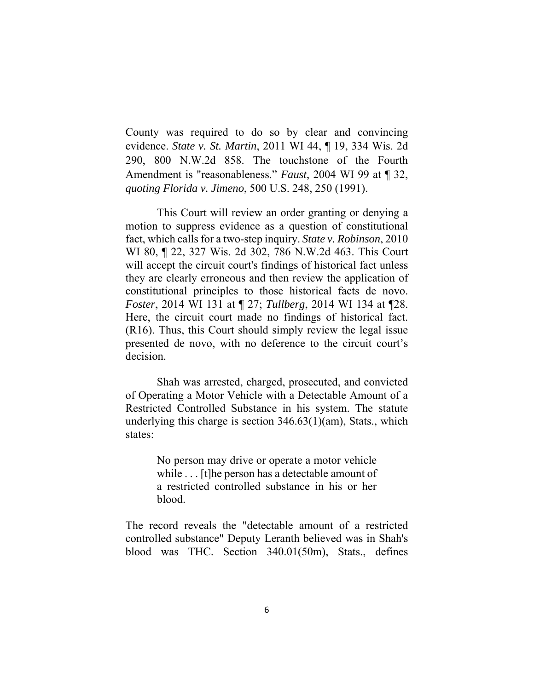County was required to do so by clear and convincing evidence. *State v. St. Martin*, 2011 WI 44, ¶ 19, 334 Wis. 2d 290, 800 N.W.2d 858. The touchstone of the Fourth Amendment is "reasonableness." *Faust*, 2004 WI 99 at ¶ 32, *quoting Florida v. Jimeno*, 500 U.S. 248, 250 (1991).

 This Court will review an order granting or denying a motion to suppress evidence as a question of constitutional fact, which calls for a two-step inquiry. *State v. Robinson*, 2010 WI 80, ¶ 22, 327 Wis. 2d 302, 786 N.W.2d 463. This Court will accept the circuit court's findings of historical fact unless they are clearly erroneous and then review the application of constitutional principles to those historical facts de novo. *Foster*, 2014 WI 131 at ¶ 27; *Tullberg*, 2014 WI 134 at ¶28. Here, the circuit court made no findings of historical fact. (R16). Thus, this Court should simply review the legal issue presented de novo, with no deference to the circuit court's decision.

 Shah was arrested, charged, prosecuted, and convicted of Operating a Motor Vehicle with a Detectable Amount of a Restricted Controlled Substance in his system. The statute underlying this charge is section 346.63(1)(am), Stats., which states:

> No person may drive or operate a motor vehicle while . . . [t] he person has a detectable amount of a restricted controlled substance in his or her blood.

The record reveals the "detectable amount of a restricted controlled substance" Deputy Leranth believed was in Shah's blood was THC. Section 340.01(50m), Stats., defines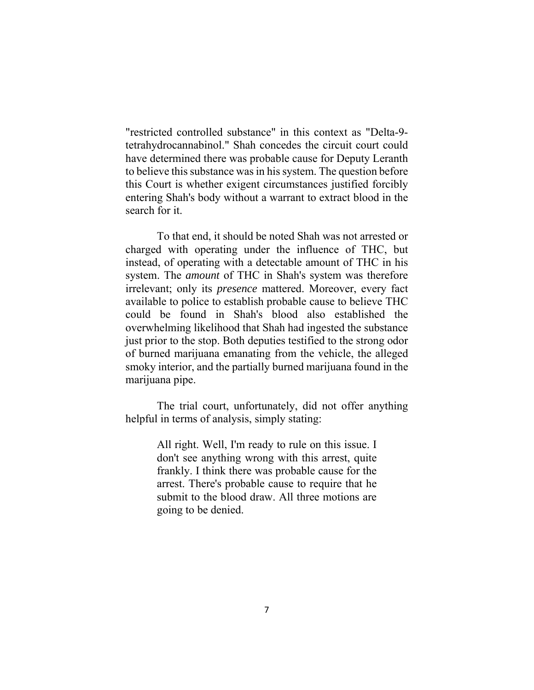"restricted controlled substance" in this context as "Delta-9 tetrahydrocannabinol." Shah concedes the circuit court could have determined there was probable cause for Deputy Leranth to believe this substance was in his system. The question before this Court is whether exigent circumstances justified forcibly entering Shah's body without a warrant to extract blood in the search for it.

 To that end, it should be noted Shah was not arrested or charged with operating under the influence of THC, but instead, of operating with a detectable amount of THC in his system. The *amount* of THC in Shah's system was therefore irrelevant; only its *presence* mattered. Moreover, every fact available to police to establish probable cause to believe THC could be found in Shah's blood also established the overwhelming likelihood that Shah had ingested the substance just prior to the stop. Both deputies testified to the strong odor of burned marijuana emanating from the vehicle, the alleged smoky interior, and the partially burned marijuana found in the marijuana pipe.

 The trial court, unfortunately, did not offer anything helpful in terms of analysis, simply stating:

> All right. Well, I'm ready to rule on this issue. I don't see anything wrong with this arrest, quite frankly. I think there was probable cause for the arrest. There's probable cause to require that he submit to the blood draw. All three motions are going to be denied.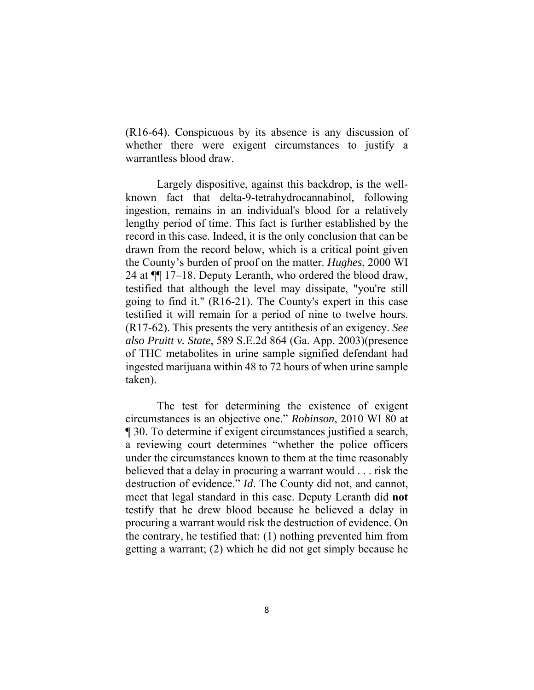(R16-64). Conspicuous by its absence is any discussion of whether there were exigent circumstances to justify a warrantless blood draw.

 Largely dispositive, against this backdrop, is the wellknown fact that delta-9-tetrahydrocannabinol, following ingestion, remains in an individual's blood for a relatively lengthy period of time. This fact is further established by the record in this case. Indeed, it is the only conclusion that can be drawn from the record below, which is a critical point given the County's burden of proof on the matter. *Hughes*, 2000 WI 24 at ¶¶ 17–18. Deputy Leranth, who ordered the blood draw, testified that although the level may dissipate, "you're still going to find it." (R16-21). The County's expert in this case testified it will remain for a period of nine to twelve hours. (R17-62). This presents the very antithesis of an exigency. *See also Pruitt v. State*, 589 S.E.2d 864 (Ga. App. 2003)(presence of THC metabolites in urine sample signified defendant had ingested marijuana within 48 to 72 hours of when urine sample taken).

 The test for determining the existence of exigent circumstances is an objective one." *Robinson*, 2010 WI 80 at ¶ 30. To determine if exigent circumstances justified a search, a reviewing court determines "whether the police officers under the circumstances known to them at the time reasonably believed that a delay in procuring a warrant would . . . risk the destruction of evidence." *Id*. The County did not, and cannot, meet that legal standard in this case. Deputy Leranth did **not** testify that he drew blood because he believed a delay in procuring a warrant would risk the destruction of evidence. On the contrary, he testified that: (1) nothing prevented him from getting a warrant; (2) which he did not get simply because he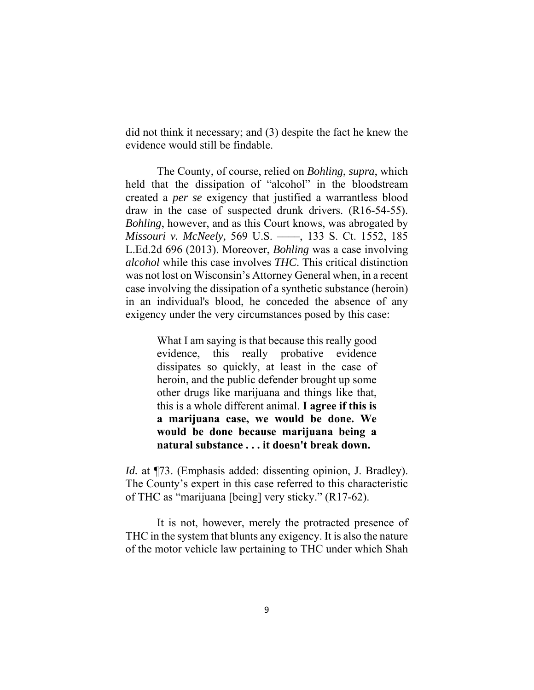did not think it necessary; and (3) despite the fact he knew the evidence would still be findable.

 The County, of course, relied on *Bohling*, *supra*, which held that the dissipation of "alcohol" in the bloodstream created a *per se* exigency that justified a warrantless blood draw in the case of suspected drunk drivers. (R16-54-55). *Bohling*, however, and as this Court knows, was abrogated by *Missouri v. McNeely,* 569 U.S. ––––, 133 S. Ct. 1552, 185 L.Ed.2d 696 (2013). Moreover, *Bohling* was a case involving *alcohol* while this case involves *THC*. This critical distinction was not lost on Wisconsin's Attorney General when, in a recent case involving the dissipation of a synthetic substance (heroin) in an individual's blood, he conceded the absence of any exigency under the very circumstances posed by this case:

> What I am saying is that because this really good evidence, this really probative evidence dissipates so quickly, at least in the case of heroin, and the public defender brought up some other drugs like marijuana and things like that, this is a whole different animal. **I agree if this is a marijuana case, we would be done. We would be done because marijuana being a natural substance . . . it doesn't break down.**

*Id.* at ¶73. (Emphasis added: dissenting opinion, J. Bradley). The County's expert in this case referred to this characteristic of THC as "marijuana [being] very sticky." (R17-62).

 It is not, however, merely the protracted presence of THC in the system that blunts any exigency. It is also the nature of the motor vehicle law pertaining to THC under which Shah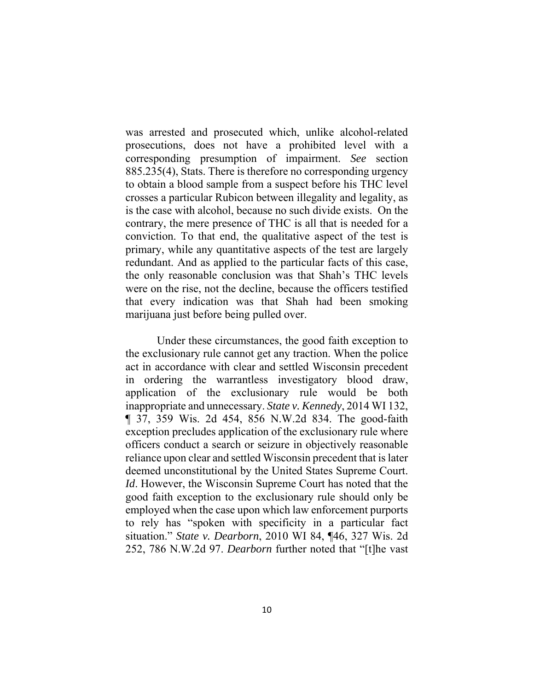was arrested and prosecuted which, unlike alcohol-related prosecutions, does not have a prohibited level with a corresponding presumption of impairment. *See* section 885.235(4), Stats. There is therefore no corresponding urgency to obtain a blood sample from a suspect before his THC level crosses a particular Rubicon between illegality and legality, as is the case with alcohol, because no such divide exists. On the contrary, the mere presence of THC is all that is needed for a conviction. To that end, the qualitative aspect of the test is primary, while any quantitative aspects of the test are largely redundant. And as applied to the particular facts of this case, the only reasonable conclusion was that Shah's THC levels were on the rise, not the decline, because the officers testified that every indication was that Shah had been smoking marijuana just before being pulled over.

 Under these circumstances, the good faith exception to the exclusionary rule cannot get any traction. When the police act in accordance with clear and settled Wisconsin precedent in ordering the warrantless investigatory blood draw, application of the exclusionary rule would be both inappropriate and unnecessary. *State v. Kennedy*, 2014 WI 132, ¶ 37, 359 Wis. 2d 454, 856 N.W.2d 834. The good-faith exception precludes application of the exclusionary rule where officers conduct a search or seizure in objectively reasonable reliance upon clear and settled Wisconsin precedent that is later deemed unconstitutional by the United States Supreme Court. *Id*. However, the Wisconsin Supreme Court has noted that the good faith exception to the exclusionary rule should only be employed when the case upon which law enforcement purports to rely has "spoken with specificity in a particular fact situation." *State v. Dearborn*, 2010 WI 84, ¶46, 327 Wis. 2d 252, 786 N.W.2d 97. *Dearborn* further noted that "[t]he vast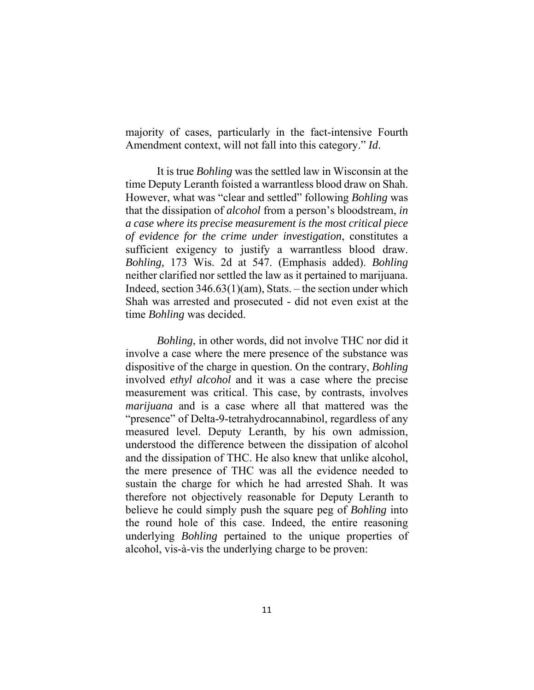majority of cases, particularly in the fact-intensive Fourth Amendment context, will not fall into this category." *Id*.

It is true *Bohling* was the settled law in Wisconsin at the time Deputy Leranth foisted a warrantless blood draw on Shah. However, what was "clear and settled" following *Bohling* was that the dissipation of *alcohol* from a person's bloodstream, *in a case where its precise measurement is the most critical piece of evidence for the crime under investigation*, constitutes a sufficient exigency to justify a warrantless blood draw. *Bohling,* 173 Wis. 2d at 547. (Emphasis added). *Bohling* neither clarified nor settled the law as it pertained to marijuana. Indeed, section 346.63(1)(am), Stats. – the section under which Shah was arrested and prosecuted - did not even exist at the time *Bohling* was decided.

*Bohling*, in other words, did not involve THC nor did it involve a case where the mere presence of the substance was dispositive of the charge in question. On the contrary, *Bohling* involved *ethyl alcohol* and it was a case where the precise measurement was critical. This case, by contrasts, involves *marijuana* and is a case where all that mattered was the "presence" of Delta-9-tetrahydrocannabinol, regardless of any measured level. Deputy Leranth, by his own admission, understood the difference between the dissipation of alcohol and the dissipation of THC. He also knew that unlike alcohol, the mere presence of THC was all the evidence needed to sustain the charge for which he had arrested Shah. It was therefore not objectively reasonable for Deputy Leranth to believe he could simply push the square peg of *Bohling* into the round hole of this case. Indeed, the entire reasoning underlying *Bohling* pertained to the unique properties of alcohol, vis-à-vis the underlying charge to be proven: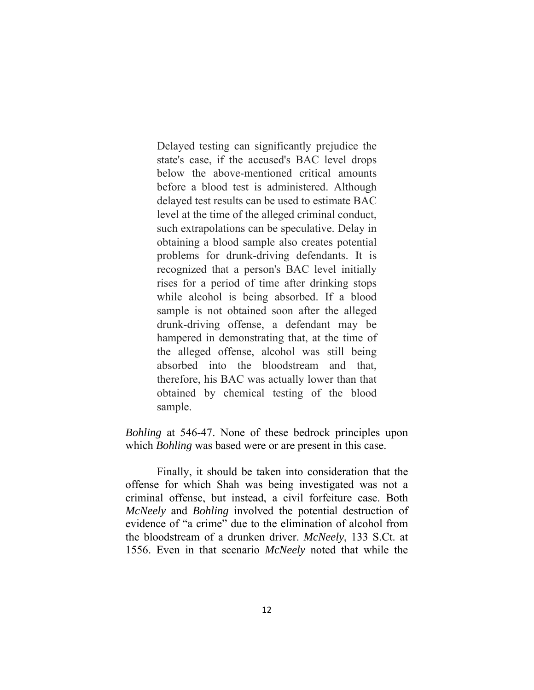Delayed testing can significantly prejudice the state's case, if the accused's BAC level drops below the above-mentioned critical amounts before a blood test is administered. Although delayed test results can be used to estimate BAC level at the time of the alleged criminal conduct, such extrapolations can be speculative. Delay in obtaining a blood sample also creates potential problems for drunk-driving defendants. It is recognized that a person's BAC level initially rises for a period of time after drinking stops while alcohol is being absorbed. If a blood sample is not obtained soon after the alleged drunk-driving offense, a defendant may be hampered in demonstrating that, at the time of the alleged offense, alcohol was still being absorbed into the bloodstream and that, therefore, his BAC was actually lower than that obtained by chemical testing of the blood sample.

*Bohling* at 546-47. None of these bedrock principles upon which *Bohling* was based were or are present in this case.

 Finally, it should be taken into consideration that the offense for which Shah was being investigated was not a criminal offense, but instead, a civil forfeiture case. Both *McNeely* and *Bohling* involved the potential destruction of evidence of "a crime" due to the elimination of alcohol from the bloodstream of a drunken driver. *McNeely*, 133 S.Ct. at 1556. Even in that scenario *McNeely* noted that while the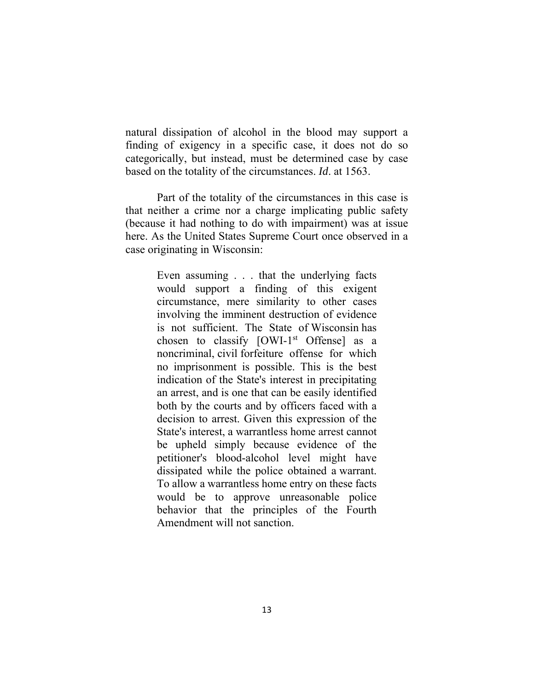natural dissipation of alcohol in the blood may support a finding of exigency in a specific case, it does not do so categorically, but instead, must be determined case by case based on the totality of the circumstances. *Id*. at 1563.

 Part of the totality of the circumstances in this case is that neither a crime nor a charge implicating public safety (because it had nothing to do with impairment) was at issue here. As the United States Supreme Court once observed in a case originating in Wisconsin:

> Even assuming . . . that the underlying facts would support a finding of this exigent circumstance, mere similarity to other cases involving the imminent destruction of evidence is not sufficient. The State of Wisconsin has chosen to classify  $[OWI-1^{st}$  Offense] as a noncriminal, civil forfeiture offense for which no imprisonment is possible. This is the best indication of the State's interest in precipitating an arrest, and is one that can be easily identified both by the courts and by officers faced with a decision to arrest. Given this expression of the State's interest, a warrantless home arrest cannot be upheld simply because evidence of the petitioner's blood-alcohol level might have dissipated while the police obtained a warrant. To allow a warrantless home entry on these facts would be to approve unreasonable police behavior that the principles of the Fourth Amendment will not sanction.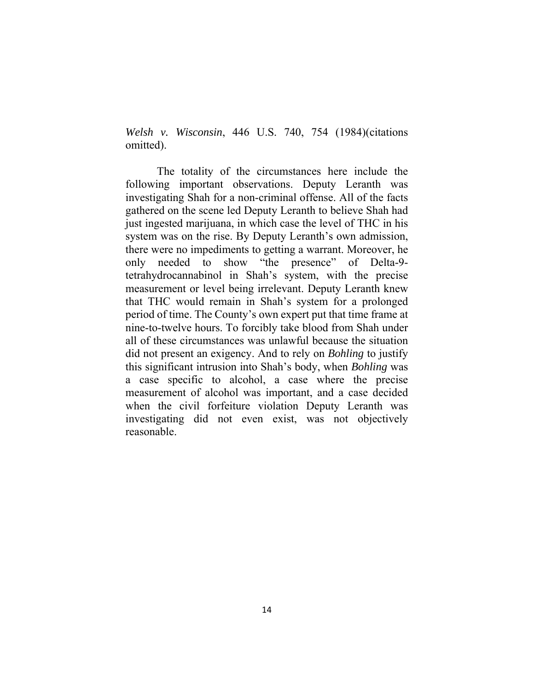*Welsh v. Wisconsin*, 446 U.S. 740, 754 (1984)(citations omitted).

 The totality of the circumstances here include the following important observations. Deputy Leranth was investigating Shah for a non-criminal offense. All of the facts gathered on the scene led Deputy Leranth to believe Shah had just ingested marijuana, in which case the level of THC in his system was on the rise. By Deputy Leranth's own admission, there were no impediments to getting a warrant. Moreover, he only needed to show "the presence" of Delta-9 tetrahydrocannabinol in Shah's system, with the precise measurement or level being irrelevant. Deputy Leranth knew that THC would remain in Shah's system for a prolonged period of time. The County's own expert put that time frame at nine-to-twelve hours. To forcibly take blood from Shah under all of these circumstances was unlawful because the situation did not present an exigency. And to rely on *Bohling* to justify this significant intrusion into Shah's body, when *Bohling* was a case specific to alcohol, a case where the precise measurement of alcohol was important, and a case decided when the civil forfeiture violation Deputy Leranth was investigating did not even exist, was not objectively reasonable.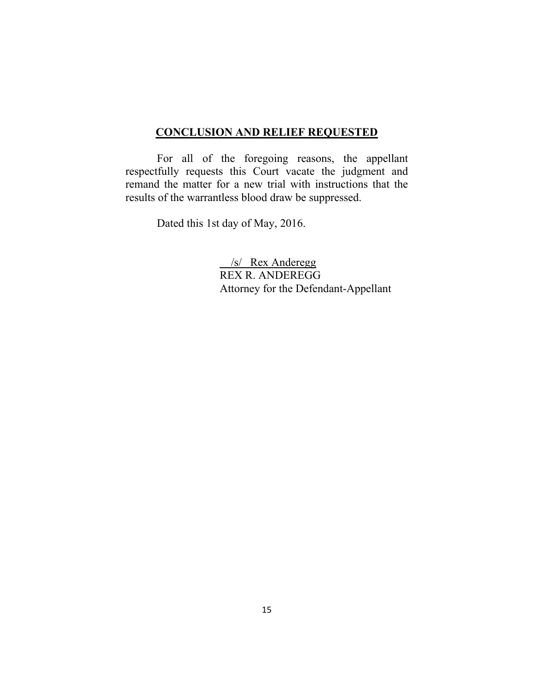### **CONCLUSION AND RELIEF REQUESTED**

 For all of the foregoing reasons, the appellant respectfully requests this Court vacate the judgment and remand the matter for a new trial with instructions that the results of the warrantless blood draw be suppressed.

Dated this 1st day of May, 2016.

 /s/ Rex Anderegg REX R. ANDEREGG Attorney for the Defendant-Appellant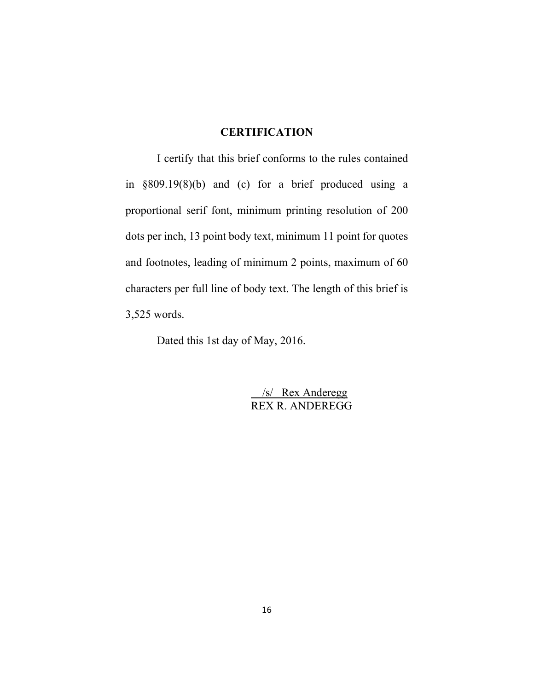### **CERTIFICATION**

 I certify that this brief conforms to the rules contained in §809.19(8)(b) and (c) for a brief produced using a proportional serif font, minimum printing resolution of 200 dots per inch, 13 point body text, minimum 11 point for quotes and footnotes, leading of minimum 2 points, maximum of 60 characters per full line of body text. The length of this brief is 3,525 words.

Dated this 1st day of May, 2016.

 /s/ Rex Anderegg REX R. ANDEREGG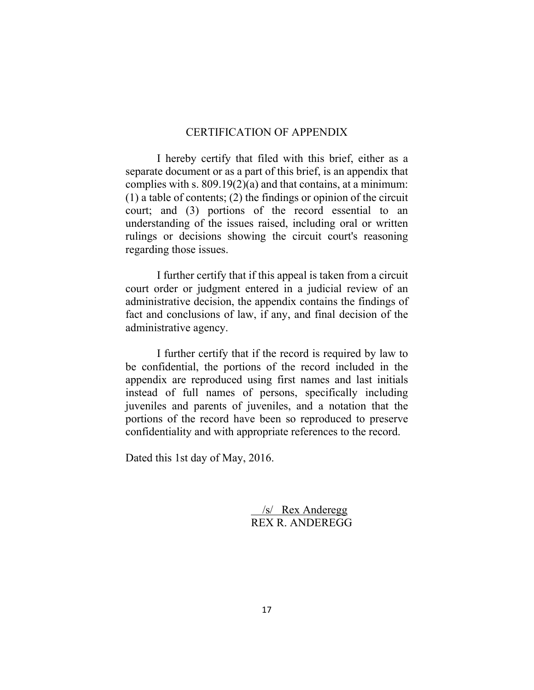#### CERTIFICATION OF APPENDIX

 I hereby certify that filed with this brief, either as a separate document or as a part of this brief, is an appendix that complies with s. 809.19(2)(a) and that contains, at a minimum: (1) a table of contents; (2) the findings or opinion of the circuit court; and (3) portions of the record essential to an understanding of the issues raised, including oral or written rulings or decisions showing the circuit court's reasoning regarding those issues.

 I further certify that if this appeal is taken from a circuit court order or judgment entered in a judicial review of an administrative decision, the appendix contains the findings of fact and conclusions of law, if any, and final decision of the administrative agency.

 I further certify that if the record is required by law to be confidential, the portions of the record included in the appendix are reproduced using first names and last initials instead of full names of persons, specifically including juveniles and parents of juveniles, and a notation that the portions of the record have been so reproduced to preserve confidentiality and with appropriate references to the record.

Dated this 1st day of May, 2016.

 /s/ Rex Anderegg REX R. ANDEREGG